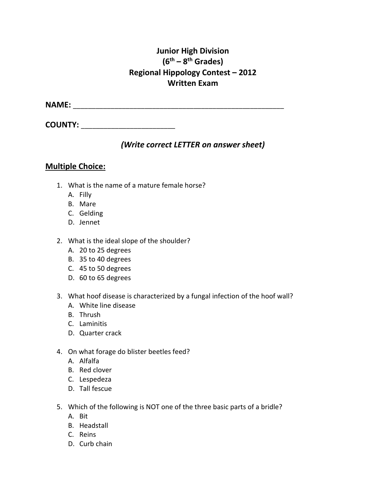## **Junior High Division (6th – 8th Grades) Regional Hippology Contest – 2012 Written Exam**

**NAME:** \_\_\_\_\_\_\_\_\_\_\_\_\_\_\_\_\_\_\_\_\_\_\_\_\_\_\_\_\_\_\_\_\_\_\_\_\_\_\_\_\_\_\_\_\_\_\_\_\_\_\_\_\_\_\_\_

**COUNTY:**  $\blacksquare$ 

## *(Write correct LETTER on answer sheet)*

### **Multiple Choice:**

- 1. What is the name of a mature female horse?
	- A. Filly
	- B. Mare
	- C. Gelding
	- D. Jennet
- 2. What is the ideal slope of the shoulder?
	- A. 20 to 25 degrees
	- B. 35 to 40 degrees
	- C. 45 to 50 degrees
	- D. 60 to 65 degrees
- 3. What hoof disease is characterized by a fungal infection of the hoof wall?
	- A. White line disease
	- B. Thrush
	- C. Laminitis
	- D. Quarter crack
- 4. On what forage do blister beetles feed?
	- A. Alfalfa
	- B. Red clover
	- C. Lespedeza
	- D. Tall fescue
- 5. Which of the following is NOT one of the three basic parts of a bridle?
	- A. Bit
	- B. Headstall
	- C. Reins
	- D. Curb chain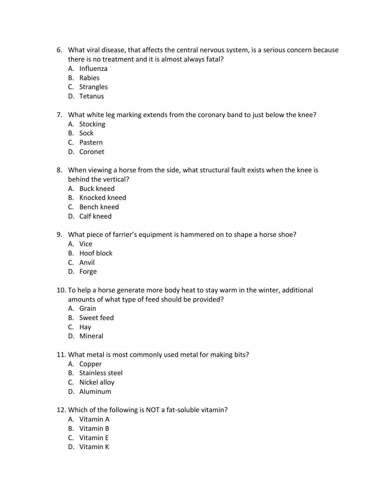- 6. What viral disease, that affects the central nervous system, is a serious concern because there is no treatment and it is almost always fatal?
	- A. Influenza
	- B. Rabies
	- C. Strangles
	- D. Tetanus
- 7. What white leg marking extends from the coronary band to just below the knee?
	- A. Stocking
	- B. Sock
	- C. Pastern
	- D. Coronet
- 8. When viewing a horse from the side, what structural fault exists when the knee is behind the vertical?
	- A. Buck kneed
	- B. Knocked kneed
	- C. Bench kneed
	- D. Calf kneed
- 9. What piece of farrier's equipment is hammered on to shape a horse shoe?
	- A. Vice
	- B. Hoof block
	- C. Anvil
	- D. Forge
- 10. To help a horse generate more body heat to stay warm in the winter, additional amounts of what type of feed should be provided?
	- A. Grain
	- B. Sweet feed
	- C. Hay
	- D. Mineral
- 11. What metal is most commonly used metal for making bits?
	- A. Copper
	- B. Stainless steel
	- C. Nickel alloy
	- D. Aluminum
- 12. Which of the following is NOT a fat-soluble vitamin?
	- A. Vitamin A
	- B. Vitamin B
	- C. Vitamin E
	- D. Vitamin K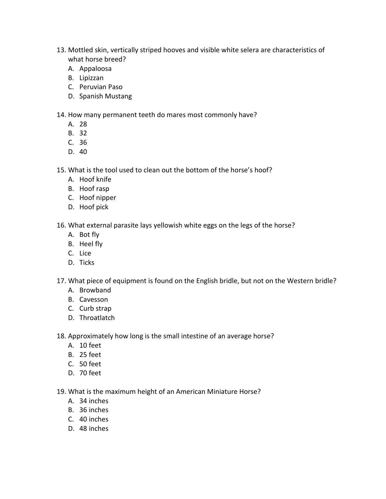- 13. Mottled skin, vertically striped hooves and visible white selera are characteristics of what horse breed?
	- A. Appaloosa
	- B. Lipizzan
	- C. Peruvian Paso
	- D. Spanish Mustang

14. How many permanent teeth do mares most commonly have?

- A. 28
- B. 32
- C. 36
- D. 40

15. What is the tool used to clean out the bottom of the horse's hoof?

- A. Hoof knife
- B. Hoof rasp
- C. Hoof nipper
- D. Hoof pick

16. What external parasite lays yellowish white eggs on the legs of the horse?

- A. Bot fly
- B. Heel fly
- C. Lice
- D. Ticks
- 17. What piece of equipment is found on the English bridle, but not on the Western bridle?
	- A. Browband
	- B. Cavesson
	- C. Curb strap
	- D. Throatlatch

18. Approximately how long is the small intestine of an average horse?

- A. 10 feet
- B. 25 feet
- C. 50 feet
- D. 70 feet

19. What is the maximum height of an American Miniature Horse?

- A. 34 inches
- B. 36 inches
- C. 40 inches
- D. 48 inches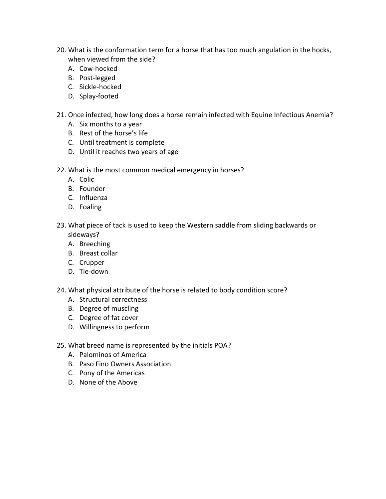- 20. What is the conformation term for a horse that has too much angulation in the hocks, when viewed from the side?
	- A. Cow-hocked
	- B. Post-legged
	- C. Sickle-hocked
	- D. Splay-footed
- 21. Once infected, how long does a horse remain infected with Equine Infectious Anemia?
	- A. Six months to a year
	- B. Rest of the horse's life
	- C. Until treatment is complete
	- D. Until it reaches two years of age
- 22. What is the most common medical emergency in horses?
	- A. Colic
	- B. Founder
	- C. Influenza
	- D. Foaling
- 23. What piece of tack is used to keep the Western saddle from sliding backwards or sideways?
	- A. Breeching
	- B. Breast collar
	- C. Crupper
	- D. Tie-down
- 24. What physical attribute of the horse is related to body condition score?
	- A. Structural correctness
	- B. Degree of muscling
	- C. Degree of fat cover
	- D. Willingness to perform
- 25. What breed name is represented by the initials POA?
	- A. Palominos of America
	- B. Paso Fino Owners Association
	- C. Pony of the Americas
	- D. None of the Above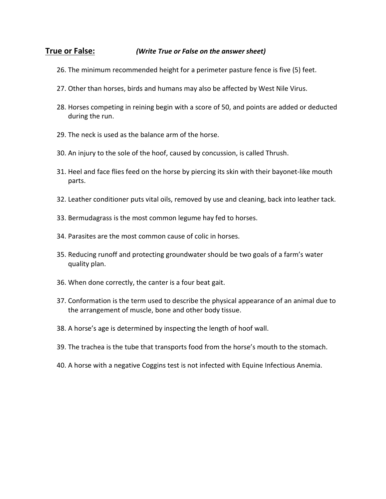#### **True or False:** *(Write True or False on the answer sheet)*

- 26. The minimum recommended height for a perimeter pasture fence is five (5) feet.
- 27. Other than horses, birds and humans may also be affected by West Nile Virus.
- 28. Horses competing in reining begin with a score of 50, and points are added or deducted during the run.
- 29. The neck is used as the balance arm of the horse.
- 30. An injury to the sole of the hoof, caused by concussion, is called Thrush.
- 31. Heel and face flies feed on the horse by piercing its skin with their bayonet-like mouth parts.
- 32. Leather conditioner puts vital oils, removed by use and cleaning, back into leather tack.
- 33. Bermudagrass is the most common legume hay fed to horses.
- 34. Parasites are the most common cause of colic in horses.
- 35. Reducing runoff and protecting groundwater should be two goals of a farm's water quality plan.
- 36. When done correctly, the canter is a four beat gait.
- 37. Conformation is the term used to describe the physical appearance of an animal due to the arrangement of muscle, bone and other body tissue.
- 38. A horse's age is determined by inspecting the length of hoof wall.
- 39. The trachea is the tube that transports food from the horse's mouth to the stomach.
- 40. A horse with a negative Coggins test is not infected with Equine Infectious Anemia.